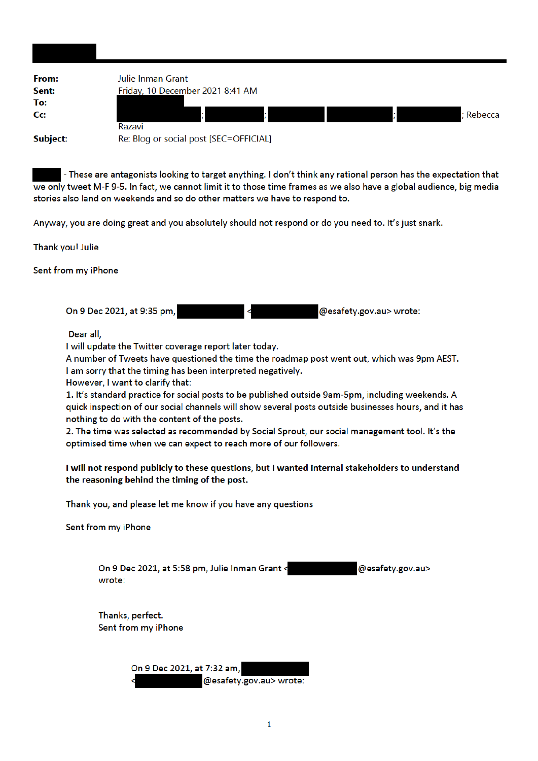| From:<br>Sent:  | Julie Inman Grant<br>Friday, 10 December 2021 8:41 AM |
|-----------------|-------------------------------------------------------|
| To:             |                                                       |
| Cc:             | ; Rebecca<br>Razavi                                   |
| <b>Subject:</b> | Re: Blog or social post [SEC=OFFICIAL]                |

- These are antagonists looking to target anything. I don't think any rational person has the expectation that we only tweet M-F 9-5. In fact, we cannot limit it to those time frames as we also have a global audience, big media stories also land on weekends and so do other matters we have to respond to.

Anyway, you are doing great and you absolutely should not respond or do you need to. It's just snark.

Thank you! Julie

Sent from my iPhone

On 9 Dec 2021, at 9:35 pm, @esafety.gov.au> wrote:

Dear all.

I will update the Twitter coverage report later today.

A number of Tweets have questioned the time the roadmap post went out, which was 9pm AEST. I am sorry that the timing has been interpreted negatively.

However, I want to clarify that:

1. It's standard practice for social posts to be published outside 9am-5pm, including weekends. A quick inspection of our social channels will show several posts outside businesses hours, and it has nothing to do with the content of the posts.

2. The time was selected as recommended by Social Sprout, our social management tool. It's the optimised time when we can expect to reach more of our followers.

## I will not respond publicly to these questions, but I wanted internal stakeholders to understand the reasoning behind the timing of the post.

Thank you, and please let me know if you have any questions

Sent from my iPhone

On 9 Dec 2021, at 5:58 pm, Julie Inman Grant < @esafety.gov.au> wrote:

Thanks, perfect. Sent from my iPhone

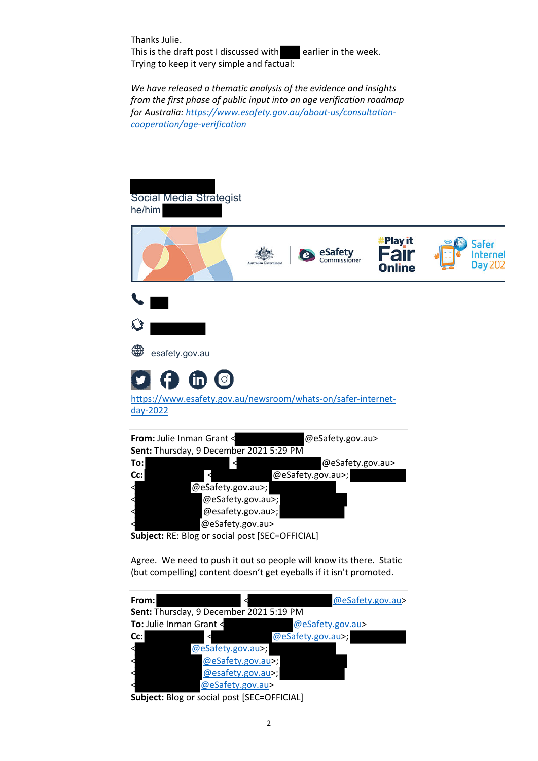Thanks Julie. This is the draft post I discussed with  $\Box$  earlier in the week. Trying to keep it very simple and factual:

*We have released a thematic analysis of the evidence and insights from the first phase of public input into an age verification roadmap for Australia: https://www.esafety.gov.au/about‐us/consultation‐ cooperation/age‐verification*



**Subject:** RE: Blog or social post [SEC=OFFICIAL]

Agree. We need to push it out so people will know its there. Static (but compelling) content doesn't get eyeballs if it isn't promoted.

| From:                                                               |                              | @eSafety.gov.au>  |  |
|---------------------------------------------------------------------|------------------------------|-------------------|--|
| Sent: Thursday, 9 December 2021 5:19 PM                             |                              |                   |  |
| To: Julie Inman Grant <                                             |                              | @eSafety.gov.au>  |  |
| Cc:                                                                 |                              | @eSafety.gov.au>; |  |
|                                                                     | @eSafety.gov.au>;            |                   |  |
|                                                                     | @eSafety.gov.au>;            |                   |  |
|                                                                     | @esafety.gov.au>;            |                   |  |
|                                                                     | @eSafety.gov.au>             |                   |  |
| $\mathbf{c}$ . It is a set of $\mathbf{c}$ is a set of $\mathbf{c}$ | <b>ALL AND LOTE OFFICIAL</b> |                   |  |

**Subject:** Blog or social post [SEC=OFFICIAL]